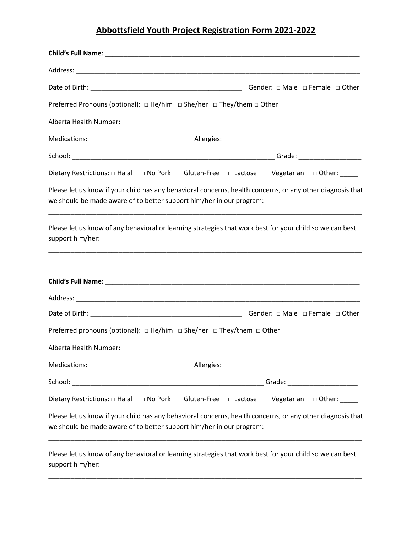| Preferred Pronouns (optional): $\Box$ He/him $\Box$ She/her $\Box$ They/them $\Box$ Other |                                                                                                                     |  |  |
|-------------------------------------------------------------------------------------------|---------------------------------------------------------------------------------------------------------------------|--|--|
|                                                                                           |                                                                                                                     |  |  |
|                                                                                           |                                                                                                                     |  |  |
|                                                                                           |                                                                                                                     |  |  |
|                                                                                           | Dietary Restrictions: □ Halal □ No Pork □ Gluten-Free □ Lactose □ Vegetarian □ Other: _____                         |  |  |
| we should be made aware of to better support him/her in our program:                      | Please let us know if your child has any behavioral concerns, health concerns, or any other diagnosis that          |  |  |
| support him/her:                                                                          | Please let us know of any behavioral or learning strategies that work best for your child so we can best            |  |  |
|                                                                                           |                                                                                                                     |  |  |
|                                                                                           |                                                                                                                     |  |  |
|                                                                                           | Gender: $\Box$ Male $\Box$ Female $\Box$ Other                                                                      |  |  |
| Preferred pronouns (optional): $\Box$ He/him $\Box$ She/her $\Box$ They/them $\Box$ Other |                                                                                                                     |  |  |
| Alberta Health Number:                                                                    |                                                                                                                     |  |  |
|                                                                                           |                                                                                                                     |  |  |
|                                                                                           |                                                                                                                     |  |  |
|                                                                                           | Dietary Restrictions: $\Box$ Halal $\Box$ No Pork $\Box$ Gluten-Free $\Box$ Lactose $\Box$ Vegetarian $\Box$ Other: |  |  |
| we should be made aware of to better support him/her in our program:                      | Please let us know if your child has any behavioral concerns, health concerns, or any other diagnosis that          |  |  |
|                                                                                           |                                                                                                                     |  |  |

Please let us know of any behavioral or learning strategies that work best for your child so we can best support him/her:

\_\_\_\_\_\_\_\_\_\_\_\_\_\_\_\_\_\_\_\_\_\_\_\_\_\_\_\_\_\_\_\_\_\_\_\_\_\_\_\_\_\_\_\_\_\_\_\_\_\_\_\_\_\_\_\_\_\_\_\_\_\_\_\_\_\_\_\_\_\_\_\_\_\_\_\_\_\_\_\_\_\_\_\_\_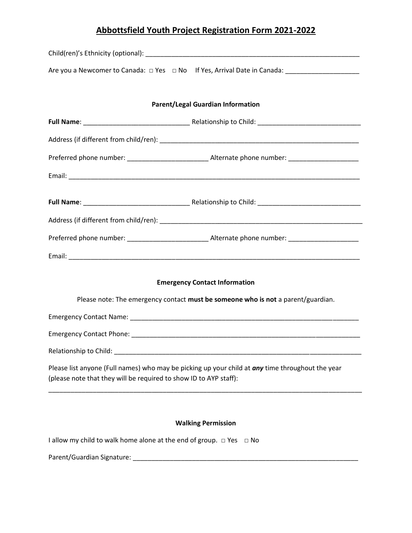|                                                                                                                                                                                                                               | Are you a Newcomer to Canada: □ Yes □ No If Yes, Arrival Date in Canada: _________________________ |  |
|-------------------------------------------------------------------------------------------------------------------------------------------------------------------------------------------------------------------------------|----------------------------------------------------------------------------------------------------|--|
|                                                                                                                                                                                                                               |                                                                                                    |  |
| <b>Parent/Legal Guardian Information</b>                                                                                                                                                                                      |                                                                                                    |  |
|                                                                                                                                                                                                                               |                                                                                                    |  |
|                                                                                                                                                                                                                               |                                                                                                    |  |
|                                                                                                                                                                                                                               |                                                                                                    |  |
|                                                                                                                                                                                                                               |                                                                                                    |  |
|                                                                                                                                                                                                                               |                                                                                                    |  |
|                                                                                                                                                                                                                               |                                                                                                    |  |
|                                                                                                                                                                                                                               |                                                                                                    |  |
|                                                                                                                                                                                                                               |                                                                                                    |  |
|                                                                                                                                                                                                                               | <b>Emergency Contact Information</b>                                                               |  |
| Please note: The emergency contact must be someone who is not a parent/guardian.                                                                                                                                              |                                                                                                    |  |
|                                                                                                                                                                                                                               |                                                                                                    |  |
|                                                                                                                                                                                                                               |                                                                                                    |  |
| Relationship to Child: National Property of the Child Child Child Child Child Child Child Child Child Child Child Child Child Child Child Child Child Child Child Child Child Child Child Child Child Child Child Child Child |                                                                                                    |  |
| Please list anyone (Full names) who may be picking up your child at <i>any</i> time throughout the year<br>(please note that they will be required to show ID to AYP staff):                                                  |                                                                                                    |  |
| <b>Walking Permission</b>                                                                                                                                                                                                     |                                                                                                    |  |

I allow my child to walk home alone at the end of group. □ Yes □ No

Parent/Guardian Signature: \_\_\_\_\_\_\_\_\_\_\_\_\_\_\_\_\_\_\_\_\_\_\_\_\_\_\_\_\_\_\_\_\_\_\_\_\_\_\_\_\_\_\_\_\_\_\_\_\_\_\_\_\_\_\_\_\_\_\_\_\_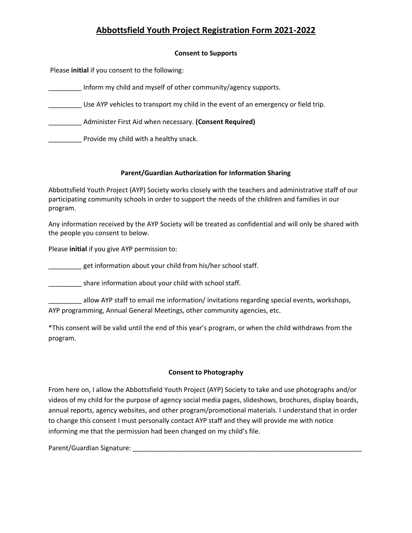#### **Consent to Supports**

Please **initial** if you consent to the following:

\_\_\_\_\_\_\_\_\_ Inform my child and myself of other community/agency supports.

Use AYP vehicles to transport my child in the event of an emergency or field trip.

\_\_\_\_\_\_\_\_\_ Administer First Aid when necessary. **(Consent Required)**

**EXECUTE:** Provide my child with a healthy snack.

#### **Parent/Guardian Authorization for Information Sharing**

Abbottsfield Youth Project (AYP) Society works closely with the teachers and administrative staff of our participating community schools in order to support the needs of the children and families in our program.

Any information received by the AYP Society will be treated as confidential and will only be shared with the people you consent to below.

Please **initial** if you give AYP permission to:

get information about your child from his/her school staff.

share information about your child with school staff.

allow AYP staff to email me information/ invitations regarding special events, workshops, AYP programming, Annual General Meetings, other community agencies, etc.

\*This consent will be valid until the end of this year's program, or when the child withdraws from the program.

#### **Consent to Photography**

From here on, I allow the Abbottsfield Youth Project (AYP) Society to take and use photographs and/or videos of my child for the purpose of agency social media pages, slideshows, brochures, display boards, annual reports, agency websites, and other program/promotional materials. I understand that in order to change this consent I must personally contact AYP staff and they will provide me with notice informing me that the permission had been changed on my child's file.

Parent/Guardian Signature: \_\_\_\_\_\_\_\_\_\_\_\_\_\_\_\_\_\_\_\_\_\_\_\_\_\_\_\_\_\_\_\_\_\_\_\_\_\_\_\_\_\_\_\_\_\_\_\_\_\_\_\_\_\_\_\_\_\_\_\_\_\_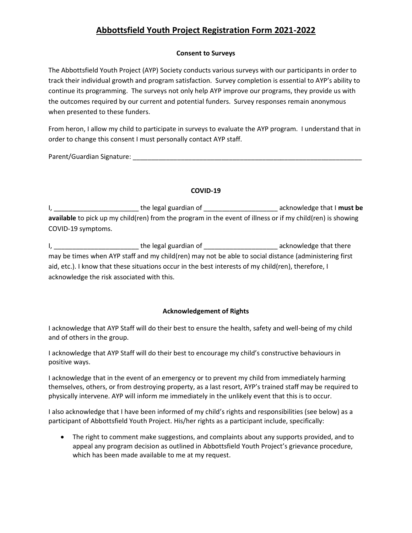#### **Consent to Surveys**

The Abbottsfield Youth Project (AYP) Society conducts various surveys with our participants in order to track their individual growth and program satisfaction. Survey completion is essential to AYP's ability to continue its programming. The surveys not only help AYP improve our programs, they provide us with the outcomes required by our current and potential funders. Survey responses remain anonymous when presented to these funders.

From heron, I allow my child to participate in surveys to evaluate the AYP program. I understand that in order to change this consent I must personally contact AYP staff.

Parent/Guardian Signature: \_\_\_\_\_\_\_\_\_\_\_\_\_\_\_\_\_\_\_\_\_\_\_\_\_\_\_\_\_\_\_\_\_\_\_\_\_\_\_\_\_\_\_\_\_\_\_\_\_\_\_\_\_\_\_\_\_\_\_\_\_\_

#### **COVID-19**

I, \_\_\_\_\_\_\_\_\_\_\_\_\_\_\_\_\_\_\_\_\_\_\_\_\_\_\_\_\_\_\_the legal guardian of \_\_\_\_\_\_\_\_\_\_\_\_\_\_\_\_\_\_\_\_\_\_\_\_\_\_\_\_\_\_\_\_\_acknowledge that I must be **available** to pick up my child(ren) from the program in the event of illness or if my child(ren) is showing COVID-19 symptoms.

I, the legal guardian of the state of the state of the legal guardian of the state of the state acknowledge that there may be times when AYP staff and my child(ren) may not be able to social distance (administering first aid, etc.). I know that these situations occur in the best interests of my child(ren), therefore, I acknowledge the risk associated with this.

#### **Acknowledgement of Rights**

I acknowledge that AYP Staff will do their best to ensure the health, safety and well-being of my child and of others in the group.

I acknowledge that AYP Staff will do their best to encourage my child's constructive behaviours in positive ways.

I acknowledge that in the event of an emergency or to prevent my child from immediately harming themselves, others, or from destroying property, as a last resort, AYP's trained staff may be required to physically intervene. AYP will inform me immediately in the unlikely event that this is to occur.

I also acknowledge that I have been informed of my child's rights and responsibilities (see below) as a participant of Abbottsfield Youth Project. His/her rights as a participant include, specifically:

• The right to comment make suggestions, and complaints about any supports provided, and to appeal any program decision as outlined in Abbottsfield Youth Project's grievance procedure, which has been made available to me at my request.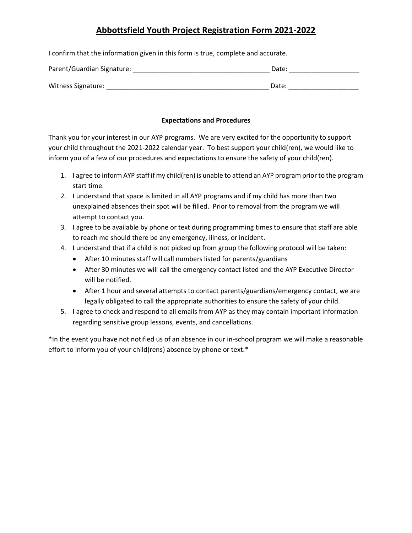I confirm that the information given in this form is true, complete and accurate.

| Parent/Guardian Signature: | Date: |
|----------------------------|-------|
| Witness Signature:         | Date: |

### **Expectations and Procedures**

Thank you for your interest in our AYP programs. We are very excited for the opportunity to support your child throughout the 2021-2022 calendar year. To best support your child(ren), we would like to inform you of a few of our procedures and expectations to ensure the safety of your child(ren).

- 1. I agree to inform AYP staff if my child(ren) is unable to attend an AYP program prior to the program start time.
- 2. I understand that space is limited in all AYP programs and if my child has more than two unexplained absences their spot will be filled. Prior to removal from the program we will attempt to contact you.
- 3. I agree to be available by phone or text during programming times to ensure that staff are able to reach me should there be any emergency, illness, or incident.
- 4. I understand that if a child is not picked up from group the following protocol will be taken:
	- After 10 minutes staff will call numbers listed for parents/guardians
	- After 30 minutes we will call the emergency contact listed and the AYP Executive Director will be notified.
	- After 1 hour and several attempts to contact parents/guardians/emergency contact, we are legally obligated to call the appropriate authorities to ensure the safety of your child.
- 5. I agree to check and respond to all emails from AYP as they may contain important information regarding sensitive group lessons, events, and cancellations.

\*In the event you have not notified us of an absence in our in-school program we will make a reasonable effort to inform you of your child(rens) absence by phone or text.\*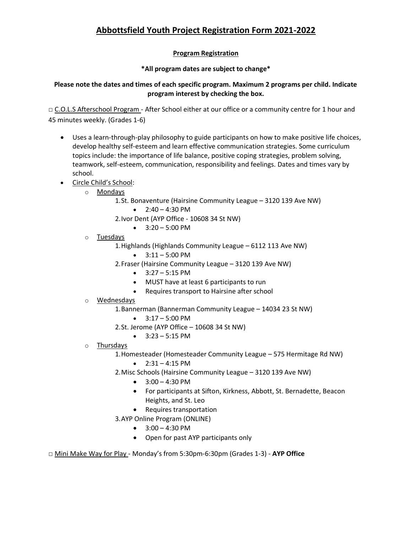### **Program Registration**

### **\*All program dates are subject to change\***

### **Please note the dates and times of each specific program. Maximum 2 programs per child. Indicate program interest by checking the box.**

□ C.O.L.S Afterschool Program - After School either at our office or a community centre for 1 hour and 45 minutes weekly. (Grades 1-6)

- Uses a learn-through-play philosophy to guide participants on how to make positive life choices, develop healthy self-esteem and learn effective communication strategies. Some curriculum topics include: the importance of life balance, positive coping strategies, problem solving, teamwork, self-esteem, communication, responsibility and feelings. Dates and times vary by school.
- Circle Child's School:
	- o Mondays
		- 1.St. Bonaventure (Hairsine Community League 3120 139 Ave NW)
			- $2:40 4:30 \text{ PM}$
		- 2.Ivor Dent (AYP Office 10608 34 St NW)
			- $\bullet$  3:20 5:00 PM
	- o Tuesdays
		- 1.Highlands (Highlands Community League 6112 113 Ave NW)
			- $\bullet$  3:11 5:00 PM
		- 2.Fraser (Hairsine Community League 3120 139 Ave NW)
			- $\bullet$  3:27 5:15 PM
			- MUST have at least 6 participants to run
			- Requires transport to Hairsine after school
	- o Wednesdays
		- 1.Bannerman (Bannerman Community League 14034 23 St NW)
			- $\bullet$  3:17 5:00 PM
		- 2.St. Jerome (AYP Office 10608 34 St NW)
			- $\bullet$  3:23 5:15 PM
	- o Thursdays
		- 1.Homesteader (Homesteader Community League 575 Hermitage Rd NW)
			- $2:31 4:15 \text{ PM}$
		- 2.Misc Schools (Hairsine Community League 3120 139 Ave NW)
			- $\bullet$  3:00 4:30 PM
			- For participants at Sifton, Kirkness, Abbott, St. Bernadette, Beacon Heights, and St. Leo
			- Requires transportation
		- 3.AYP Online Program (ONLINE)
			- $\bullet$  3:00 4:30 PM
			- Open for past AYP participants only
- □ Mini Make Way for Play Monday's from 5:30pm-6:30pm (Grades 1-3) **AYP Office**